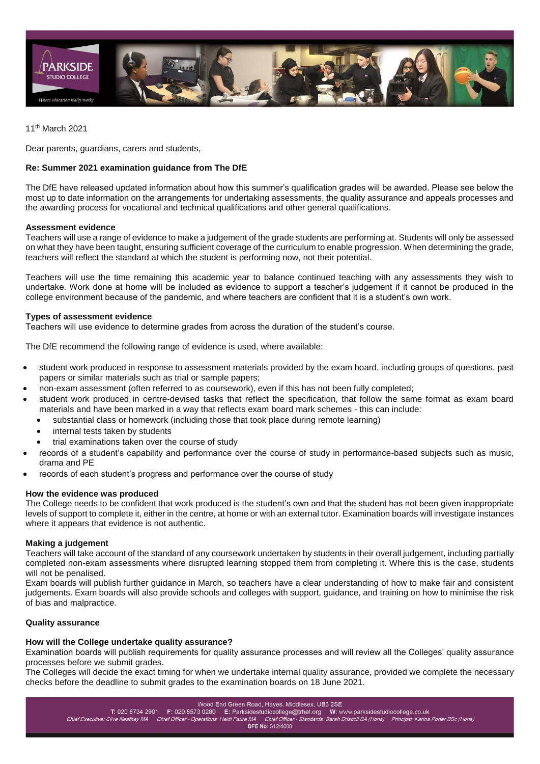

11th March 2021

Dear parents, guardians, carers and students,

# **Re: Summer 2021 examination guidance from The DfE**

The DfE have released updated information about how this summer's qualification grades will be awarded. Please see below the most up to date information on the arrangements for undertaking assessments, the quality assurance and appeals processes and the awarding process for vocational and technical qualifications and other general qualifications.

## **Assessment evidence**

Teachers will use a range of evidence to make a judgement of the grade students are performing at. Students will only be assessed on what they have been taught, ensuring sufficient coverage of the curriculum to enable progression. When determining the grade, teachers will reflect the standard at which the student is performing now, not their potential.

Teachers will use the time remaining this academic year to balance continued teaching with any assessments they wish to undertake. Work done at home will be included as evidence to support a teacher's judgement if it cannot be produced in the college environment because of the pandemic, and where teachers are confident that it is a student's own work.

## **Types of assessment evidence**

Teachers will use evidence to determine grades from across the duration of the student's course.

The DfE recommend the following range of evidence is used, where available:

- student work produced in response to assessment materials provided by the exam board, including groups of questions, past papers or similar materials such as trial or sample papers;
- non-exam assessment (often referred to as coursework), even if this has not been fully completed;
- student work produced in centre-devised tasks that reflect the specification, that follow the same format as exam board materials and have been marked in a way that reflects exam board mark schemes - this can include:
	- substantial class or homework (including those that took place during remote learning)
	- internal tests taken by students
	- trial examinations taken over the course of study
- records of a student's capability and performance over the course of study in performance-based subjects such as music, drama and PE
- records of each student's progress and performance over the course of study

### **How the evidence was produced**

The College needs to be confident that work produced is the student's own and that the student has not been given inappropriate levels of support to complete it, either in the centre, at home or with an external tutor. Examination boards will investigate instances where it appears that evidence is not authentic.

### **Making a judgement**

Teachers will take account of the standard of any coursework undertaken by students in their overall judgement, including partially completed non-exam assessments where disrupted learning stopped them from completing it. Where this is the case, students will not be penalised.

Exam boards will publish further guidance in March, so teachers have a clear understanding of how to make fair and consistent judgements. Exam boards will also provide schools and colleges with support, guidance, and training on how to minimise the risk of bias and malpractice.

# **Quality assurance**

# **How will the College undertake quality assurance?**

Examination boards will publish requirements for quality assurance processes and will review all the Colleges' quality assurance processes before we submit grades.

The Colleges will decide the exact timing for when we undertake internal quality assurance, provided we complete the necessary checks before the deadline to submit grades to the examination boards on 18 June 2021.